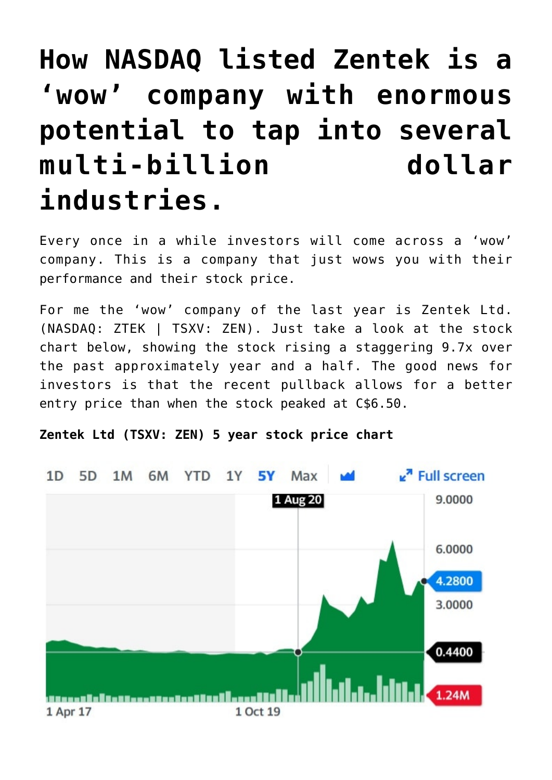# **[How NASDAQ listed Zentek is a](https://investorintel.com/markets/biotech-healthcare/biotech-intel/now-nasdaq-listed-zentek-is-a-wow-company-with-enormous-potential-to-tap-into-several-multi-billion-dollar-industries/) ['wow' company with enormous](https://investorintel.com/markets/biotech-healthcare/biotech-intel/now-nasdaq-listed-zentek-is-a-wow-company-with-enormous-potential-to-tap-into-several-multi-billion-dollar-industries/) [potential to tap into several](https://investorintel.com/markets/biotech-healthcare/biotech-intel/now-nasdaq-listed-zentek-is-a-wow-company-with-enormous-potential-to-tap-into-several-multi-billion-dollar-industries/) [multi-billion dollar](https://investorintel.com/markets/biotech-healthcare/biotech-intel/now-nasdaq-listed-zentek-is-a-wow-company-with-enormous-potential-to-tap-into-several-multi-billion-dollar-industries/) [industries.](https://investorintel.com/markets/biotech-healthcare/biotech-intel/now-nasdaq-listed-zentek-is-a-wow-company-with-enormous-potential-to-tap-into-several-multi-billion-dollar-industries/)**

Every once in a while investors will come across a 'wow' company. This is a company that just wows you with their performance and their stock price.

For me the 'wow' company of the last year is [Zentek Ltd.](https://www.zentek.com/) (NASDAQ: ZTEK | TSXV: ZEN). Just take a look at the stock chart below, showing the stock rising a staggering 9.7x over the past approximately year and a half. The good news for investors is that the recent pullback allows for a better entry price than when the stock peaked at C\$6.50.

**Zentek Ltd (TSXV: ZEN) 5 year stock price chart**

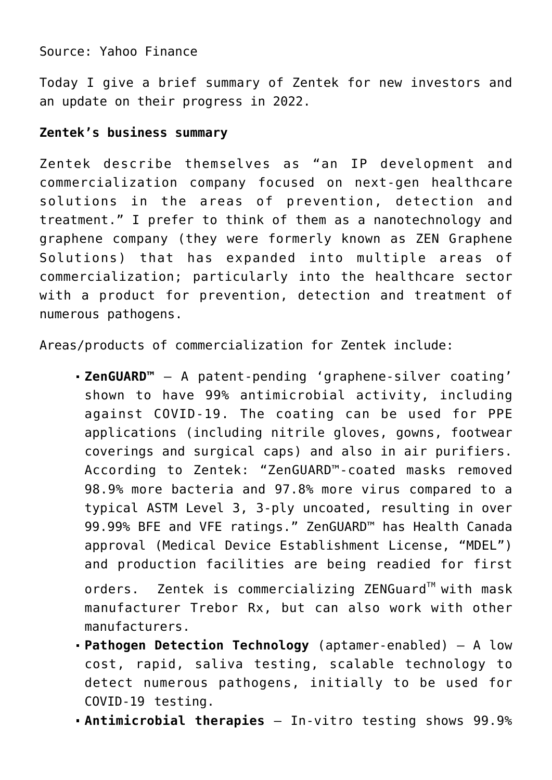## Source: [Yahoo Finance](https://au.finance.yahoo.com/quote/ZEN.V/)

Today I give a brief summary of Zentek for new investors and an update on their progress in 2022.

### **Zentek's business summary**

Zentek [describe](https://investorintel.com/iintel-members/zentek-ltd/) themselves as "an IP development and commercialization company focused on next-gen healthcare solutions in the areas of prevention, detection and treatment." I prefer to think of them as a nanotechnology and graphene company (they were formerly known as ZEN Graphene Solutions) that has expanded into multiple areas of commercialization; particularly into the healthcare sector with a product for prevention, detection and treatment of numerous pathogens.

Areas/products of commercialization for Zentek include:

**[ZenGUARD™](https://www.zentek.com/prevention/)** – A patent-pending 'graphene-silver coating' shown to have [99% antimicrobial activity](https://investorintel.com/markets/biotech-healthcare/biotech-news/zen-graphene-solutions-develops-graphene-based-ink-with-99-virucidal-activity-against-covid-19/), including against COVID-19. The coating can be used for PPE applications (including nitrile gloves, gowns, footwear coverings and surgical caps) and also in air purifiers. [According to](https://www.zentek.com/prevention/) Zentek: "ZenGUARD™-coated masks removed 98.9% more bacteria and 97.8% more virus compared to a typical ASTM Level 3, 3-ply uncoated, resulting in over 99.99% BFE and VFE ratings." ZenGUARD™ has [Health Canada](https://investorintel.com/markets/biotech-healthcare/biotech-news/zen-graphene-solutions-and-trebor-rx-announce-health-canada-approval-for-zenguard-mask/) [approval](https://investorintel.com/markets/biotech-healthcare/biotech-news/zen-graphene-solutions-and-trebor-rx-announce-health-canada-approval-for-zenguard-mask/) (Medical Device Establishment License, "MDEL") and [production facilities are being readied](https://investorintel.com/markets/biotech-healthcare/biotech-news/zentek-provides-corporate-update-2/) for [first](https://investorintel.com/markets/biotech-healthcare/biotech-news/zentek-announces-first-direct-orders-under-its-medical-device-establishment-license/)

[orders.](https://investorintel.com/markets/biotech-healthcare/biotech-news/zentek-announces-first-direct-orders-under-its-medical-device-establishment-license/) Zentek is commercializing ZENGuard™ with mask manufacturer Trebor Rx, but can also work with other manufacturers.

- **[Pathogen Detection Technology](https://www.zentek.com/detection/)** (aptamer-enabled) A low cost, rapid, saliva testing, scalable technology to detect numerous pathogens, initially to be used for COVID-19 testing.
- **[Antimicrobial therapies](https://www.zentek.com/treatment/)** In-vitro testing shows [99.9%](https://www.zentek.com/news/zen-graphene-solutions-develops-novel-graphene-based-potential-treatment-for-bacterial-and-viral-infections-in-humans/)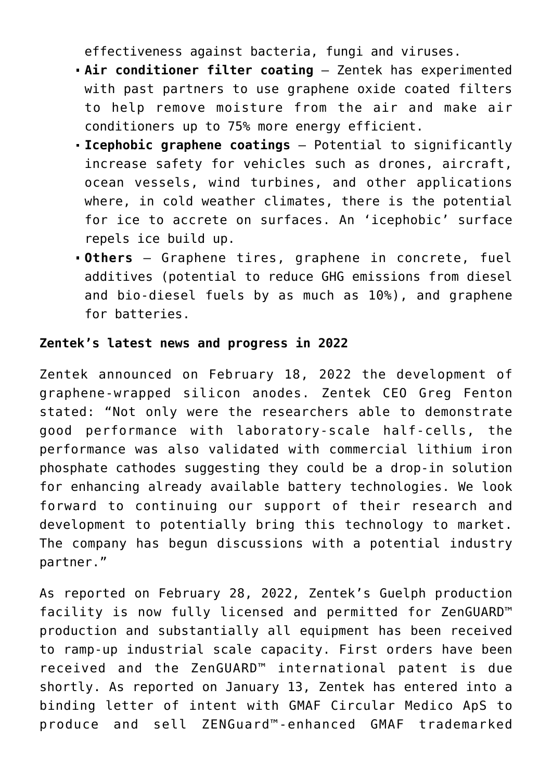[effectiveness](https://www.zentek.com/news/zen-graphene-solutions-develops-novel-graphene-based-potential-treatment-for-bacterial-and-viral-infections-in-humans/) against bacteria, fungi and viruses.

- **Air conditioner filter coating** Zentek has experimented with past partners to use graphene oxide coated filters to help remove moisture from the air and make air conditioners up to [75% more energy efficient.](https://investorintel.com/investorintel-video/dr-dube-discusses-competitive-graphene-technology-and-the-recent-testing-partnership-between-zen-the-royal-canadian-navy-and-evercloak/)
- **[Icephobic graphene coatings](https://www.zentek.com/discover-nanotechnology/next-gen-materials/)** Potential to significantly increase safety for vehicles such as drones, aircraft, ocean vessels, wind turbines, and other applications where, in cold weather climates, there is the potential for ice to accrete on surfaces. An 'icephobic' surface repels ice build up.
- **Others** Graphene tires, graphene in concrete, [fuel](https://www.zentek.com/discover-nanotechnology/clean-tech/) [additives](https://www.zentek.com/discover-nanotechnology/clean-tech/) (potential to reduce GHG emissions from diesel and bio-diesel fuels by as much as 10%), and graphene for batteries.

## **Zentek's latest news and progress in 2022**

Zentek announced on [February 18, 2022](https://investorintel.com/markets/biotech-healthcare/biotech-news/zentek-announces-development-of-graphene-wrapped-silicon-anodes/) the development of graphene-wrapped silicon anodes. Zentek CEO Greg Fenton [stated](https://investorintel.com/markets/biotech-healthcare/biotech-news/zentek-announces-development-of-graphene-wrapped-silicon-anodes/): "Not only were the researchers able to demonstrate good performance with laboratory-scale half-cells, the performance was also validated with commercial lithium iron phosphate cathodes suggesting they could be a drop-in solution for enhancing already available battery technologies. We look forward to continuing our support of their research and development to potentially bring this technology to market. The company has begun discussions with a potential industry partner."

As [reported](https://investorintel.com/markets/biotech-healthcare/biotech-news/zentek-provides-corporate-update-2/) on February 28, 2022, Zentek's Guelph production facility is now fully licensed and permitted for ZenGUARD™ production and substantially all equipment has been received to ramp-up industrial scale capacity. First orders have been received and the ZenGUARD™ international patent is due shortly. As [reported](https://investorintel.com/markets/biotech-healthcare/biotech-news/zentek-announces-binding-letter-of-intent-with-gmaf-circular-medico-for-zenguardtm-enhanced-circular-ppetm/) on January 13, Zentek has entered into a binding letter of intent with GMAF Circular Medico ApS to produce and sell ZENGuard™-enhanced GMAF trademarked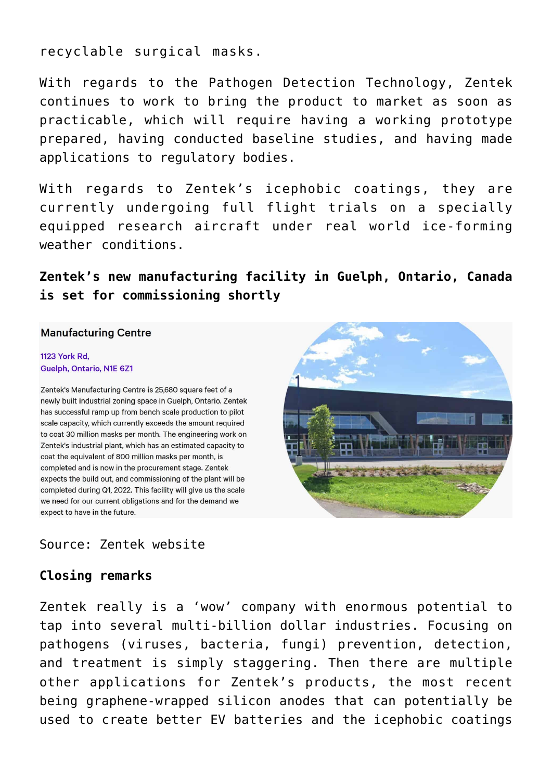recyclable surgical masks.

With regards to the Pathogen Detection Technology, Zentek [continues to work to bring the product to market](https://investorintel.com/markets/biotech-healthcare/biotech-news/zentek-provides-corporate-update-2/) as soon as practicable, which will require having a working prototype prepared, having conducted baseline studies, and having made applications to regulatory bodies.

With regards to Zentek's icephobic coatings, they are currently [undergoing full flight trials](https://investorintel.com/markets/biotech-healthcare/biotech-news/zentek-provides-corporate-update-2/) on a specially equipped research aircraft under real world ice-forming weather conditions.

**Zentek's new manufacturing facility in Guelph, Ontario, Canada is set for commissioning shortly**

#### **Manufacturing Centre**

#### **1123 York Rd.** Guelph, Ontario, N1E 6Z1

Zentek's Manufacturing Centre is 25,680 square feet of a newly built industrial zoning space in Guelph, Ontario. Zentek has successful ramp up from bench scale production to pilot scale capacity, which currently exceeds the amount required to coat 30 million masks per month. The engineering work on Zentek's industrial plant, which has an estimated capacity to coat the equivalent of 800 million masks per month, is completed and is now in the procurement stage. Zentek expects the build out, and commissioning of the plant will be completed during Q1, 2022. This facility will give us the scale we need for our current obligations and for the demand we expect to have in the future.

## Source: [Zentek website](https://www.zentek.com/our-story/facilities/)

## **Closing remarks**

Zentek really is a 'wow' company with enormous potential to tap into several multi-billion dollar industries. Focusing on pathogens (viruses, bacteria, fungi) prevention, detection, and treatment is simply staggering. Then there are multiple other applications for Zentek's products, the most recent being graphene-wrapped silicon anodes that can potentially be used to create better EV batteries and the icephobic coatings